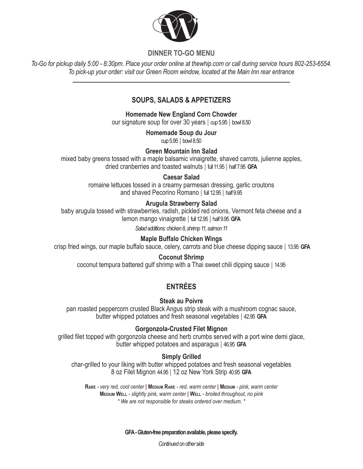

## **DINNER TO-GO MENU**

*To-Go for pickup daily 5:00 - 8:30pm. Place your order online at thewhip.com or call during service hours 802-253-6554. To pick-up your order: visit our Green Room window, located at the Main Inn rear entrance*

# **SOUPS, SALADS & APPETIZERS**

**Homemade New England Corn Chowder**

our signature soup for over 30 years **|** cup 5.95 **|** bowl 8.50

**Homemade Soup du Jour** cup 5.95 **|** bowl 8.50

**Green Mountain Inn Salad**

mixed baby greens tossed with a maple balsamic vinaigrette, shaved carrots, julienne apples, dried cranberries and toasted walnuts **|** full 11.95 **|** half 7.95 **GFA**

## **Caesar Salad**

romaine lettuces tossed in a creamy parmesan dressing, garlic croutons and shaved Pecorino Romano **|** full 12.95 **|** half 9.95

# **Arugula Strawberry Salad**

baby arugula tossed with strawberries, radish, pickled red onions, Vermont feta cheese and a lemon mango vinaigrette **|** full 12.95 **|** half 9.95 **GFA**

*Salad additions: chicken 8, shrimp 11, salmon 11*

## **Maple Buffalo Chicken Wings**

crisp fried wings, our maple buffalo sauce, celery, carrots and blue cheese dipping sauce **|** 13.95 **GFA**

#### **Coconut Shrimp**

coconut tempura battered gulf shrimp with a Thai sweet chili dipping sauce **|** 14.95

# **ENTRÉES**

#### **Steak au Poivre**

pan roasted peppercorn crusted Black Angus strip steak with a mushroom cognac sauce, butter whipped potatoes and fresh seasonal vegetables **|** 42.95 **GFA**

## **Gorgonzola-Crusted Filet Mignon**

grilled filet topped with gorgonzola cheese and herb crumbs served with a port wine demi glace, butter whipped potatoes and asparagus **|** 46.95 **GFA**

# **Simply Grilled**

char-grilled to your liking with butter whipped potatoes and fresh seasonal vegetables 8 oz Filet Mignon 44.95 **|** 12 oz New York Strip 40.95 **GFA**

**Rare** *- very red, cool center* **| Medium Rare** *- red, warm center* **| Medium** *- pink, warm center* **Medium Well** *- slightly pink, warm center* **| Well** *- broiled throughout, no pink \* We are not responsible for steaks ordered over medium. \**

**GFA - Gluten-free preparation available, please specify.** 

*Continued on other side*